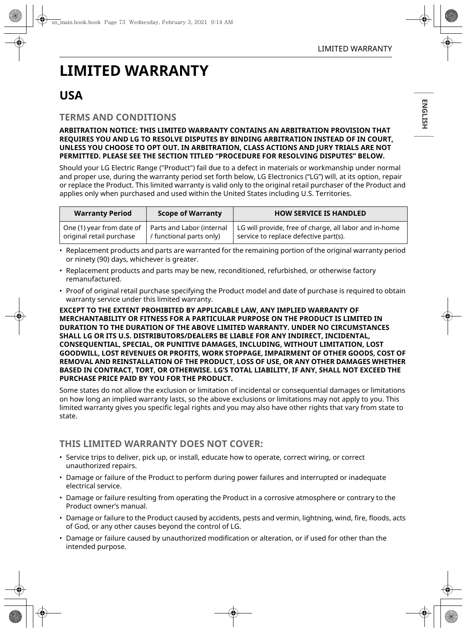# **LIMITED WARRANTY**

# **USA**

### **TERMS AND CONDITIONS**

#### **ARBITRATION NOTICE: THIS LIMITED WARRANTY CONTAINS AN ARBITRATION PROVISION THAT REQUIRES YOU AND LG TO RESOLVE DISPUTES BY BINDING ARBITRATION INSTEAD OF IN COURT, UNLESS YOU CHOOSE TO OPT OUT. IN ARBITRATION, CLASS ACTIONS AND JURY TRIALS ARE NOT PERMITTED. PLEASE SEE THE SECTION TITLED "PROCEDURE FOR RESOLVING DISPUTES" BELOW.**

Should your LG Electric Range ("Product") fail due to a defect in materials or workmanship under normal and proper use, during the warranty period set forth below, LG Electronics ("LG") will, at its option, repair or replace the Product. This limited warranty is valid only to the original retail purchaser of the Product and applies only when purchased and used within the United States including U.S. Territories.

| <b>Warranty Period</b>                                                            | <b>Scope of Warranty</b> | <b>HOW SERVICE IS HANDLED</b>                                                                   |
|-----------------------------------------------------------------------------------|--------------------------|-------------------------------------------------------------------------------------------------|
| One (1) year from date of   Parts and Labor (internal<br>original retail purchase | / functional parts only) | LG will provide, free of charge, all labor and in-home<br>service to replace defective part(s). |

• Replacement products and parts are warranted for the remaining portion of the original warranty period or ninety (90) days, whichever is greater.

- Replacement products and parts may be new, reconditioned, refurbished, or otherwise factory remanufactured.
- Proof of original retail purchase specifying the Product model and date of purchase is required to obtain warranty service under this limited warranty.

#### **EXCEPT TO THE EXTENT PROHIBITED BY APPLICABLE LAW, ANY IMPLIED WARRANTY OF MERCHANTABILITY OR FITNESS FOR A PARTICULAR PURPOSE ON THE PRODUCT IS LIMITED IN DURATION TO THE DURATION OF THE ABOVE LIMITED WARRANTY. UNDER NO CIRCUMSTANCES SHALL LG OR ITS U.S. DISTRIBUTORS/DEALERS BE LIABLE FOR ANY INDIRECT, INCIDENTAL, CONSEQUENTIAL, SPECIAL, OR PUNITIVE DAMAGES, INCLUDING, WITHOUT LIMITATION, LOST GOODWILL, LOST REVENUES OR PROFITS, WORK STOPPAGE, IMPAIRMENT OF OTHER GOODS, COST OF REMOVAL AND REINSTALLATION OF THE PRODUCT, LOSS OF USE, OR ANY OTHER DAMAGES WHETHER BASED IN CONTRACT, TORT, OR OTHERWISE. LG'S TOTAL LIABILITY, IF ANY, SHALL NOT EXCEED THE PURCHASE PRICE PAID BY YOU FOR THE PRODUCT.**

Some states do not allow the exclusion or limitation of incidental or consequential damages or limitations on how long an implied warranty lasts, so the above exclusions or limitations may not apply to you. This limited warranty gives you specific legal rights and you may also have other rights that vary from state to state.

## **THIS LIMITED WARRANTY DOES NOT COVER:**

- Service trips to deliver, pick up, or install, educate how to operate, correct wiring, or correct unauthorized repairs.
- Damage or failure of the Product to perform during power failures and interrupted or inadequate electrical service.
- Damage or failure resulting from operating the Product in a corrosive atmosphere or contrary to the Product owner's manual.
- Damage or failure to the Product caused by accidents, pests and vermin, lightning, wind, fire, floods, acts of God, or any other causes beyond the control of LG.
- Damage or failure caused by unauthorized modification or alteration, or if used for other than the intended purpose.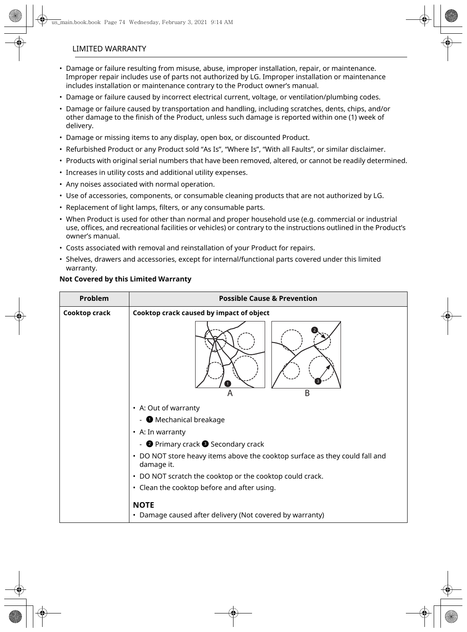#### LIMITED WARRANTY

- Damage or failure resulting from misuse, abuse, improper installation, repair, or maintenance. Improper repair includes use of parts not authorized by LG. Improper installation or maintenance includes installation or maintenance contrary to the Product owner's manual.
- Damage or failure caused by incorrect electrical current, voltage, or ventilation/plumbing codes.
- Damage or failure caused by transportation and handling, including scratches, dents, chips, and/or other damage to the finish of the Product, unless such damage is reported within one (1) week of delivery.
- Damage or missing items to any display, open box, or discounted Product.
- Refurbished Product or any Product sold "As Is", "Where Is", "With all Faults", or similar disclaimer.
- Products with original serial numbers that have been removed, altered, or cannot be readily determined.
- Increases in utility costs and additional utility expenses.
- Any noises associated with normal operation.
- Use of accessories, components, or consumable cleaning products that are not authorized by LG.
- Replacement of light lamps, filters, or any consumable parts.
- When Product is used for other than normal and proper household use (e.g. commercial or industrial use, offices, and recreational facilities or vehicles) or contrary to the instructions outlined in the Product's owner's manual.
- Costs associated with removal and reinstallation of your Product for repairs.
- Shelves, drawers and accessories, except for internal/functional parts covered under this limited warranty.

#### **Not Covered by this Limited Warranty**

| Problem       | <b>Possible Cause &amp; Prevention</b>                                                    |  |
|---------------|-------------------------------------------------------------------------------------------|--|
| Cooktop crack | Cooktop crack caused by impact of object                                                  |  |
|               | R<br>Α                                                                                    |  |
|               | • A: Out of warranty                                                                      |  |
|               | - Mechanical breakage                                                                     |  |
|               | • A: In warranty                                                                          |  |
|               | - <b>O</b> Primary crack <b>O</b> Secondary crack                                         |  |
|               | • DO NOT store heavy items above the cooktop surface as they could fall and<br>damage it. |  |
|               | • DO NOT scratch the cooktop or the cooktop could crack.                                  |  |
|               | • Clean the cooktop before and after using.                                               |  |
|               | <b>NOTE</b><br>• Damage caused after delivery (Not covered by warranty)                   |  |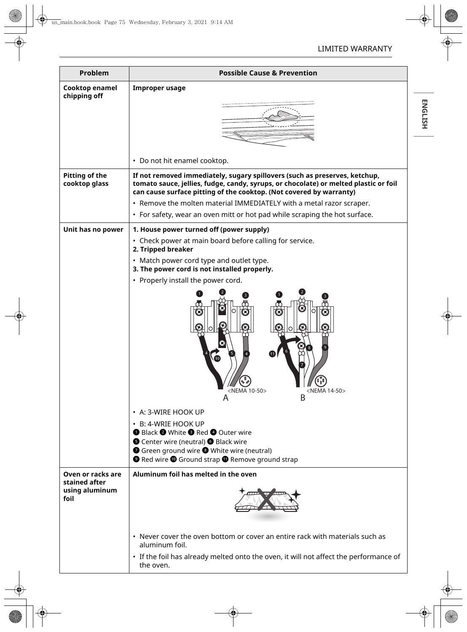| ш |
|---|
|   |
|   |
|   |
|   |
|   |
|   |

| Problem                                 | <b>Possible Cause &amp; Prevention</b>                                                                                                                                                                                                                                                                                                                      |  |
|-----------------------------------------|-------------------------------------------------------------------------------------------------------------------------------------------------------------------------------------------------------------------------------------------------------------------------------------------------------------------------------------------------------------|--|
| Cooktop enamel<br>chipping off          | <b>Improper usage</b>                                                                                                                                                                                                                                                                                                                                       |  |
|                                         |                                                                                                                                                                                                                                                                                                                                                             |  |
|                                         | • Do not hit enamel cooktop.                                                                                                                                                                                                                                                                                                                                |  |
| <b>Pitting of the</b><br>cooktop glass  | If not removed immediately, sugary spillovers (such as preserves, ketchup,<br>tomato sauce, jellies, fudge, candy, syrups, or chocolate) or melted plastic or foil<br>can cause surface pitting of the cooktop. (Not covered by warranty)                                                                                                                   |  |
|                                         | • Remove the molten material IMMEDIATELY with a metal razor scraper.                                                                                                                                                                                                                                                                                        |  |
|                                         | • For safety, wear an oven mitt or hot pad while scraping the hot surface.                                                                                                                                                                                                                                                                                  |  |
| Unit has no power                       | 1. House power turned off (power supply)<br>• Check power at main board before calling for service.<br>2. Tripped breaker<br>• Match power cord type and outlet type.<br>3. The power cord is not installed properly.<br>• Properly install the power cord.<br>Œ                                                                                            |  |
|                                         | <nema 14-50=""><br/><nema 10-50=""><br/>B<br/>Α<br/>• A: 3-WIRE HOOK UP<br/>• B: 4-WRIE HOOK UP<br/><b>O</b> Black <sup>O</sup> White <sup>O</sup> Red O Outer wire<br/>● Center wire (neutral) ● Black wire<br/>Green ground wire <sup>3</sup> White wire (neutral)<br/><b>O</b> Red wire <b>O</b> Ground strap <b>O</b> Remove ground strap</nema></nema> |  |
| Oven or racks are                       | Aluminum foil has melted in the oven                                                                                                                                                                                                                                                                                                                        |  |
| stained after<br>using aluminum<br>foil |                                                                                                                                                                                                                                                                                                                                                             |  |
|                                         | • Never cover the oven bottom or cover an entire rack with materials such as<br>aluminum foil.                                                                                                                                                                                                                                                              |  |
|                                         | • If the foil has already melted onto the oven, it will not affect the performance of<br>the oven.                                                                                                                                                                                                                                                          |  |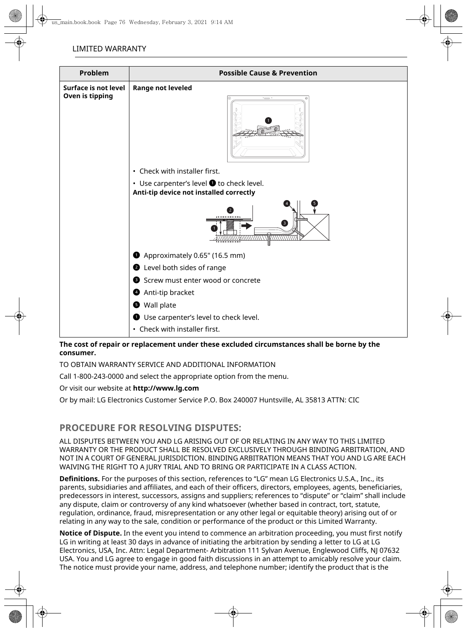| Problem                                 | <b>Possible Cause &amp; Prevention</b>                                                       |  |
|-----------------------------------------|----------------------------------------------------------------------------------------------|--|
| Surface is not level<br>Oven is tipping | <b>Range not leveled</b><br>$\equiv$                                                         |  |
|                                         | • Check with installer first.                                                                |  |
|                                         | • Use carpenter's level $\bullet$ to check level.<br>Anti-tip device not installed correctly |  |
|                                         | $\overline{2}$<br>❸                                                                          |  |
|                                         | Approximately 0.65" (16.5 mm)                                                                |  |
|                                         | Level both sides of range                                                                    |  |
|                                         | Screw must enter wood or concrete<br>❸                                                       |  |
|                                         | <b>4</b> Anti-tip bracket                                                                    |  |
|                                         | Wall plate                                                                                   |  |
|                                         | Use carpenter's level to check level.<br>$\bullet$                                           |  |
|                                         | • Check with installer first.                                                                |  |

#### **The cost of repair or replacement under these excluded circumstances shall be borne by the consumer.**

TO OBTAIN WARRANTY SERVICE AND ADDITIONAL INFORMATION

Call 1-800-243-0000 and select the appropriate option from the menu.

Or visit our website at **http://www.lg.com**

Or by mail: LG Electronics Customer Service P.O. Box 240007 Huntsville, AL 35813 ATTN: CIC

# **PROCEDURE FOR RESOLVING DISPUTES:**

ALL DISPUTES BETWEEN YOU AND LG ARISING OUT OF OR RELATING IN ANY WAY TO THIS LIMITED WARRANTY OR THE PRODUCT SHALL BE RESOLVED EXCLUSIVELY THROUGH BINDING ARBITRATION, AND NOT IN A COURT OF GENERAL JURISDICTION. BINDING ARBITRATION MEANS THAT YOU AND LG ARE EACH WAIVING THE RIGHT TO A JURY TRIAL AND TO BRING OR PARTICIPATE IN A CLASS ACTION.

**Definitions.** For the purposes of this section, references to "LG" mean LG Electronics U.S.A., Inc., its parents, subsidiaries and affiliates, and each of their officers, directors, employees, agents, beneficiaries, predecessors in interest, successors, assigns and suppliers; references to "dispute" or "claim" shall include any dispute, claim or controversy of any kind whatsoever (whether based in contract, tort, statute, regulation, ordinance, fraud, misrepresentation or any other legal or equitable theory) arising out of or relating in any way to the sale, condition or performance of the product or this Limited Warranty.

**Notice of Dispute.** In the event you intend to commence an arbitration proceeding, you must first notify LG in writing at least 30 days in advance of initiating the arbitration by sending a letter to LG at LG Electronics, USA, Inc. Attn: Legal Department- Arbitration 111 Sylvan Avenue, Englewood Cliffs, NJ 07632 USA. You and LG agree to engage in good faith discussions in an attempt to amicably resolve your claim. The notice must provide your name, address, and telephone number; identify the product that is the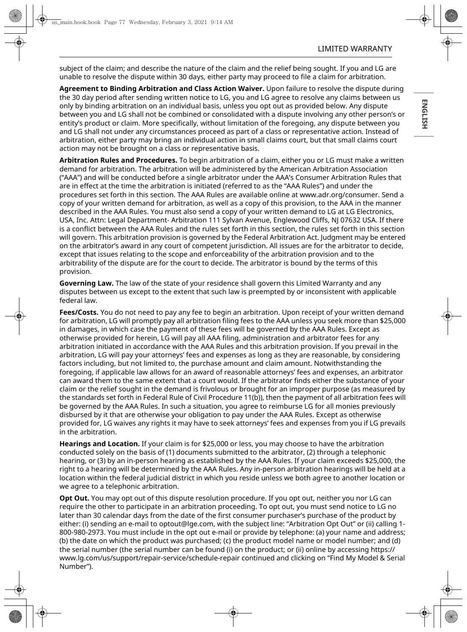subject of the claim; and describe the nature of the claim and the relief being sought. If you and LG are unable to resolve the dispute within 30 days, either party may proceed to file a claim for arbitration.

**Agreement to Binding Arbitration and Class Action Waiver.** Upon failure to resolve the dispute during the 30 day period after sending written notice to LG, you and LG agree to resolve any claims between us only by binding arbitration on an individual basis, unless you opt out as provided below. Any dispute between you and LG shall not be combined or consolidated with a dispute involving any other person's or entity's product or claim. More specifically, without limitation of the foregoing, any dispute between you and LG shall not under any circumstances proceed as part of a class or representative action. Instead of arbitration, either party may bring an individual action in small claims court, but that small claims court action may not be brought on a class or representative basis.

**Arbitration Rules and Procedures.** To begin arbitration of a claim, either you or LG must make a written demand for arbitration. The arbitration will be administered by the American Arbitration Association ("AAA") and will be conducted before a single arbitrator under the AAA's Consumer Arbitration Rules that are in effect at the time the arbitration is initiated (referred to as the "AAA Rules") and under the procedures set forth in this section. The AAA Rules are available online at www.adr.org/consumer. Send a copy of your written demand for arbitration, as well as a copy of this provision, to the AAA in the manner described in the AAA Rules. You must also send a copy of your written demand to LG at LG Electronics, USA, Inc. Attn: Legal Department- Arbitration 111 Sylvan Avenue, Englewood Cliffs, NJ 07632 USA. If there is a conflict between the AAA Rules and the rules set forth in this section, the rules set forth in this section will govern. This arbitration provision is governed by the Federal Arbitration Act. Judgment may be entered on the arbitrator's award in any court of competent jurisdiction. All issues are for the arbitrator to decide, except that issues relating to the scope and enforceability of the arbitration provision and to the arbitrability of the dispute are for the court to decide. The arbitrator is bound by the terms of this provision.

**Governing Law.** The law of the state of your residence shall govern this Limited Warranty and any disputes between us except to the extent that such law is preempted by or inconsistent with applicable federal law.

**Fees/Costs.** You do not need to pay any fee to begin an arbitration. Upon receipt of your written demand for arbitration, LG will promptly pay all arbitration filing fees to the AAA unless you seek more than \$25,000 in damages, in which case the payment of these fees will be governed by the AAA Rules. Except as otherwise provided for herein, LG will pay all AAA filing, administration and arbitrator fees for any arbitration initiated in accordance with the AAA Rules and this arbitration provision. If you prevail in the arbitration, LG will pay your attorneys' fees and expenses as long as they are reasonable, by considering factors including, but not limited to, the purchase amount and claim amount. Notwithstanding the foregoing, if applicable law allows for an award of reasonable attorneys' fees and expenses, an arbitrator can award them to the same extent that a court would. If the arbitrator finds either the substance of your claim or the relief sought in the demand is frivolous or brought for an improper purpose (as measured by the standards set forth in Federal Rule of Civil Procedure 11(b)), then the payment of all arbitration fees will be governed by the AAA Rules. In such a situation, you agree to reimburse LG for all monies previously disbursed by it that are otherwise your obligation to pay under the AAA Rules. Except as otherwise provided for, LG waives any rights it may have to seek attorneys' fees and expenses from you if LG prevails in the arbitration.

**Hearings and Location.** If your claim is for \$25,000 or less, you may choose to have the arbitration conducted solely on the basis of (1) documents submitted to the arbitrator, (2) through a telephonic hearing, or (3) by an in-person hearing as established by the AAA Rules. If your claim exceeds \$25,000, the right to a hearing will be determined by the AAA Rules. Any in-person arbitration hearings will be held at a location within the federal judicial district in which you reside unless we both agree to another location or we agree to a telephonic arbitration.

**Opt Out.** You may opt out of this dispute resolution procedure. If you opt out, neither you nor LG can require the other to participate in an arbitration proceeding. To opt out, you must send notice to LG no later than 30 calendar days from the date of the first consumer purchaser's purchase of the product by either: (i) sending an e-mail to optout@lge.com, with the subject line: "Arbitration Opt Out" or (ii) calling 1- 800-980-2973. You must include in the opt out e-mail or provide by telephone: (a) your name and address; (b) the date on which the product was purchased; (c) the product model name or model number; and (d) the serial number (the serial number can be found (i) on the product; or (ii) online by accessing https:// www.lg.com/us/support/repair-service/schedule-repair continued and clicking on "Find My Model & Serial Number").